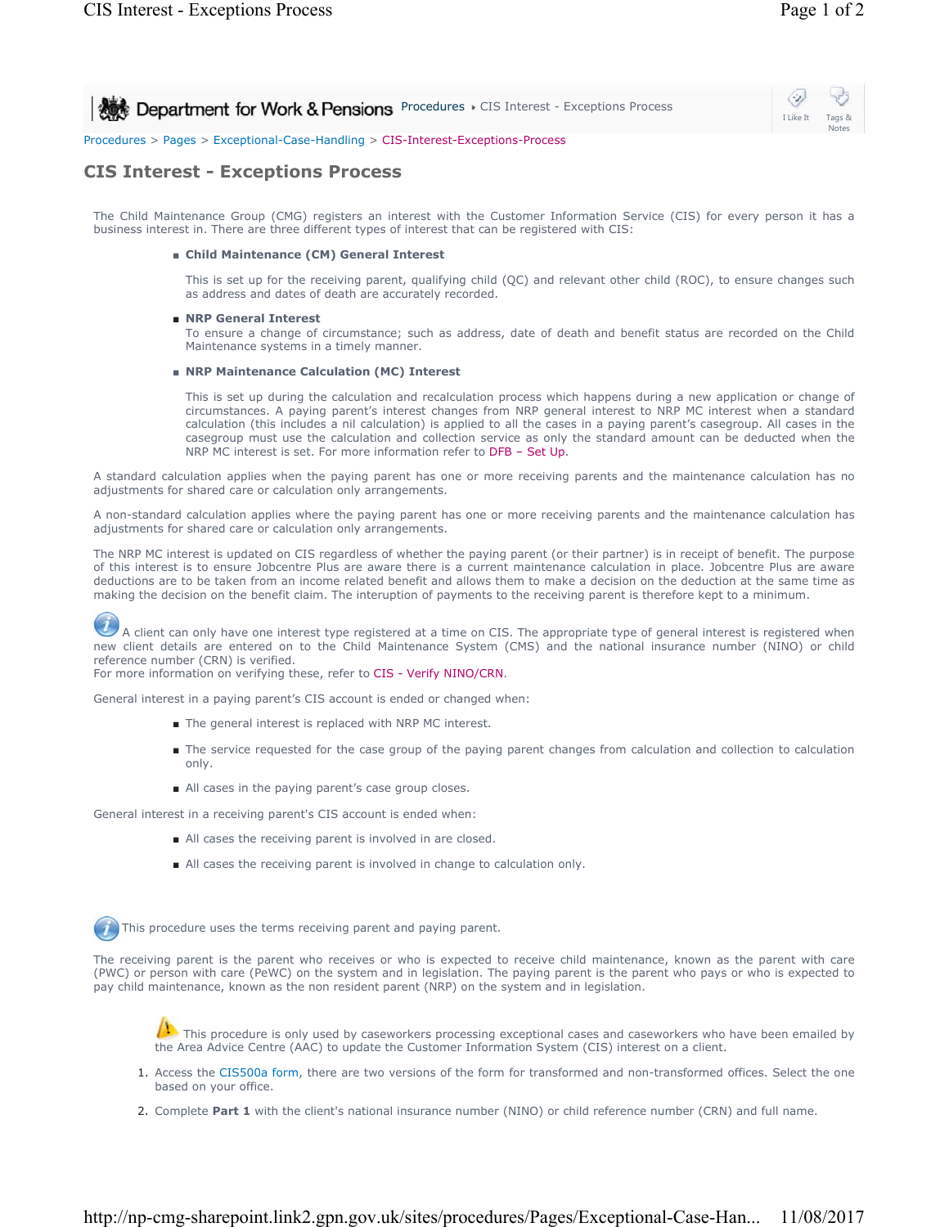⇔ **Procedures > CIS Interest - Exceptions Process** I Like It Tags & Notes Procedures > Pages > Exceptional-Case-Handling > CIS-Interest-Exceptions-Process

# **CIS Interest - Exceptions Process**

The Child Maintenance Group (CMG) registers an interest with the Customer Information Service (CIS) for every person it has a business interest in. There are three different types of interest that can be registered with CIS:

#### ■ **Child Maintenance (CM) General Interest**

This is set up for the receiving parent, qualifying child (QC) and relevant other child (ROC), to ensure changes such as address and dates of death are accurately recorded.

### ■ NRP General Interest

To ensure a change of circumstance; such as address, date of death and benefit status are recorded on the Child Maintenance systems in a timely manner.

### ■ **NRP Maintenance Calculation (MC) Interest**

This is set up during the calculation and recalculation process which happens during a new application or change of circumstances. A paying parent's interest changes from NRP general interest to NRP MC interest when a standard calculation (this includes a nil calculation) is applied to all the cases in a paying parent's casegroup. All cases in the casegroup must use the calculation and collection service as only the standard amount can be deducted when the NRP MC interest is set. For more information refer to DFB - Set Up.

A standard calculation applies when the paying parent has one or more receiving parents and the maintenance calculation has no adjustments for shared care or calculation only arrangements.

A non-standard calculation applies where the paying parent has one or more receiving parents and the maintenance calculation has adjustments for shared care or calculation only arrangements.

The NRP MC interest is updated on CIS regardless of whether the paying parent (or their partner) is in receipt of benefit. The purpose of this interest is to ensure Jobcentre Plus are aware there is a current maintenance calculation in place. Jobcentre Plus are aware deductions are to be taken from an income related benefit and allows them to make a decision on the deduction at the same time as making the decision on the benefit claim. The interuption of payments to the receiving parent is therefore kept to a minimum.

A client can only have one interest type registered at a time on CIS. The appropriate type of general interest is registered when new client details are entered on to the Child Maintenance System (CMS) and the national insurance number (NINO) or child reference number (CRN) is verified.

For more information on verifying these, refer to CIS - Verify NINO/CRN.

General interest in a paying parent's CIS account is ended or changed when:

- The general interest is replaced with NRP MC interest.
- The service requested for the case group of the paying parent changes from calculation and collection to calculation only.
- All cases in the paying parent's case group closes.

General interest in a receiving parent's CIS account is ended when:

- All cases the receiving parent is involved in are closed.
- All cases the receiving parent is involved in change to calculation only.

This procedure uses the terms receiving parent and paying parent.

The receiving parent is the parent who receives or who is expected to receive child maintenance, known as the parent with care (PWC) or person with care (PeWC) on the system and in legislation. The paying parent is the parent who pays or who is expected to pay child maintenance, known as the non resident parent (NRP) on the system and in legislation.

This procedure is only used by caseworkers processing exceptional cases and caseworkers who have been emailed by the Area Advice Centre (AAC) to update the Customer Information System (CIS) interest on a client.

- 1. Access the CIS500a form, there are two versions of the form for transformed and non-transformed offices. Select the one based on your office.
- 2. Complete **Part 1** with the client's national insurance number (NINO) or child reference number (CRN) and full name.